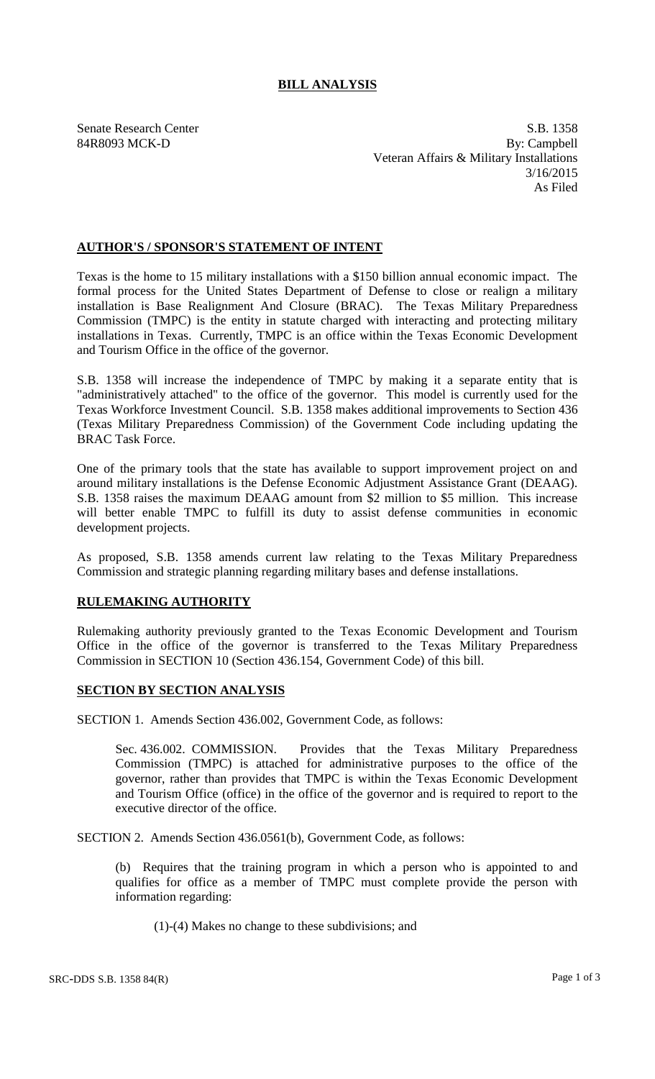## **BILL ANALYSIS**

Senate Research Center S.B. 1358 84R8093 MCK-D By: Campbell Veteran Affairs & Military Installations 3/16/2015 As Filed

## **AUTHOR'S / SPONSOR'S STATEMENT OF INTENT**

Texas is the home to 15 military installations with a \$150 billion annual economic impact. The formal process for the United States Department of Defense to close or realign a military installation is Base Realignment And Closure (BRAC). The Texas Military Preparedness Commission (TMPC) is the entity in statute charged with interacting and protecting military installations in Texas. Currently, TMPC is an office within the Texas Economic Development and Tourism Office in the office of the governor.

S.B. 1358 will increase the independence of TMPC by making it a separate entity that is "administratively attached" to the office of the governor. This model is currently used for the Texas Workforce Investment Council. S.B. 1358 makes additional improvements to Section 436 (Texas Military Preparedness Commission) of the Government Code including updating the BRAC Task Force.

One of the primary tools that the state has available to support improvement project on and around military installations is the Defense Economic Adjustment Assistance Grant (DEAAG). S.B. 1358 raises the maximum DEAAG amount from \$2 million to \$5 million. This increase will better enable TMPC to fulfill its duty to assist defense communities in economic development projects.

As proposed, S.B. 1358 amends current law relating to the Texas Military Preparedness Commission and strategic planning regarding military bases and defense installations.

## **RULEMAKING AUTHORITY**

Rulemaking authority previously granted to the Texas Economic Development and Tourism Office in the office of the governor is transferred to the Texas Military Preparedness Commission in SECTION 10 (Section 436.154, Government Code) of this bill.

## **SECTION BY SECTION ANALYSIS**

SECTION 1. Amends Section 436.002, Government Code, as follows:

Sec. 436.002. COMMISSION. Provides that the Texas Military Preparedness Commission (TMPC) is attached for administrative purposes to the office of the governor, rather than provides that TMPC is within the Texas Economic Development and Tourism Office (office) in the office of the governor and is required to report to the executive director of the office.

SECTION 2. Amends Section 436.0561(b), Government Code, as follows:

(b) Requires that the training program in which a person who is appointed to and qualifies for office as a member of TMPC must complete provide the person with information regarding:

(1)-(4) Makes no change to these subdivisions; and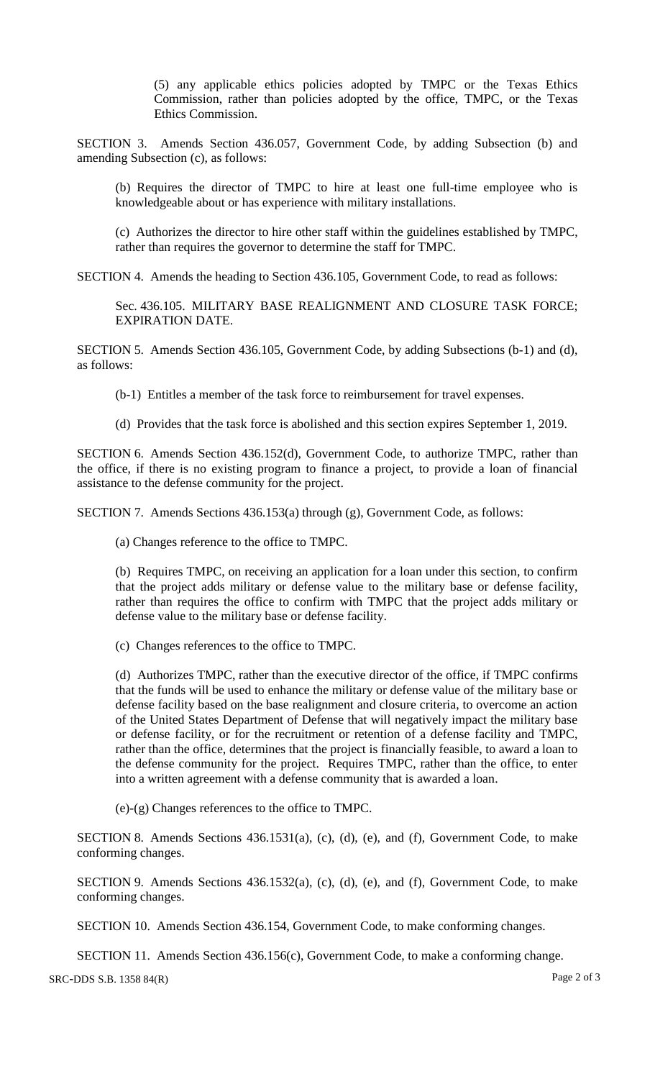(5) any applicable ethics policies adopted by TMPC or the Texas Ethics Commission, rather than policies adopted by the office, TMPC, or the Texas Ethics Commission.

SECTION 3. Amends Section 436.057, Government Code, by adding Subsection (b) and amending Subsection (c), as follows:

(b) Requires the director of TMPC to hire at least one full-time employee who is knowledgeable about or has experience with military installations.

(c) Authorizes the director to hire other staff within the guidelines established by TMPC, rather than requires the governor to determine the staff for TMPC.

SECTION 4. Amends the heading to Section 436.105, Government Code, to read as follows:

Sec. 436.105. MILITARY BASE REALIGNMENT AND CLOSURE TASK FORCE; EXPIRATION DATE.

SECTION 5. Amends Section 436.105, Government Code, by adding Subsections (b-1) and (d), as follows:

(b-1) Entitles a member of the task force to reimbursement for travel expenses.

(d) Provides that the task force is abolished and this section expires September 1, 2019.

SECTION 6. Amends Section 436.152(d), Government Code, to authorize TMPC, rather than the office, if there is no existing program to finance a project, to provide a loan of financial assistance to the defense community for the project.

SECTION 7. Amends Sections 436.153(a) through (g), Government Code, as follows:

(a) Changes reference to the office to TMPC.

(b) Requires TMPC, on receiving an application for a loan under this section, to confirm that the project adds military or defense value to the military base or defense facility, rather than requires the office to confirm with TMPC that the project adds military or defense value to the military base or defense facility.

(c) Changes references to the office to TMPC.

(d) Authorizes TMPC, rather than the executive director of the office, if TMPC confirms that the funds will be used to enhance the military or defense value of the military base or defense facility based on the base realignment and closure criteria, to overcome an action of the United States Department of Defense that will negatively impact the military base or defense facility, or for the recruitment or retention of a defense facility and TMPC, rather than the office, determines that the project is financially feasible, to award a loan to the defense community for the project. Requires TMPC, rather than the office, to enter into a written agreement with a defense community that is awarded a loan.

(e)-(g) Changes references to the office to TMPC.

SECTION 8. Amends Sections 436.1531(a), (c), (d), (e), and (f), Government Code, to make conforming changes.

SECTION 9. Amends Sections 436.1532(a), (c), (d), (e), and (f), Government Code, to make conforming changes.

SECTION 10. Amends Section 436.154, Government Code, to make conforming changes.

SECTION 11. Amends Section 436.156(c), Government Code, to make a conforming change.

SRC-DDS S.B. 1358 84(R) Page 2 of 3